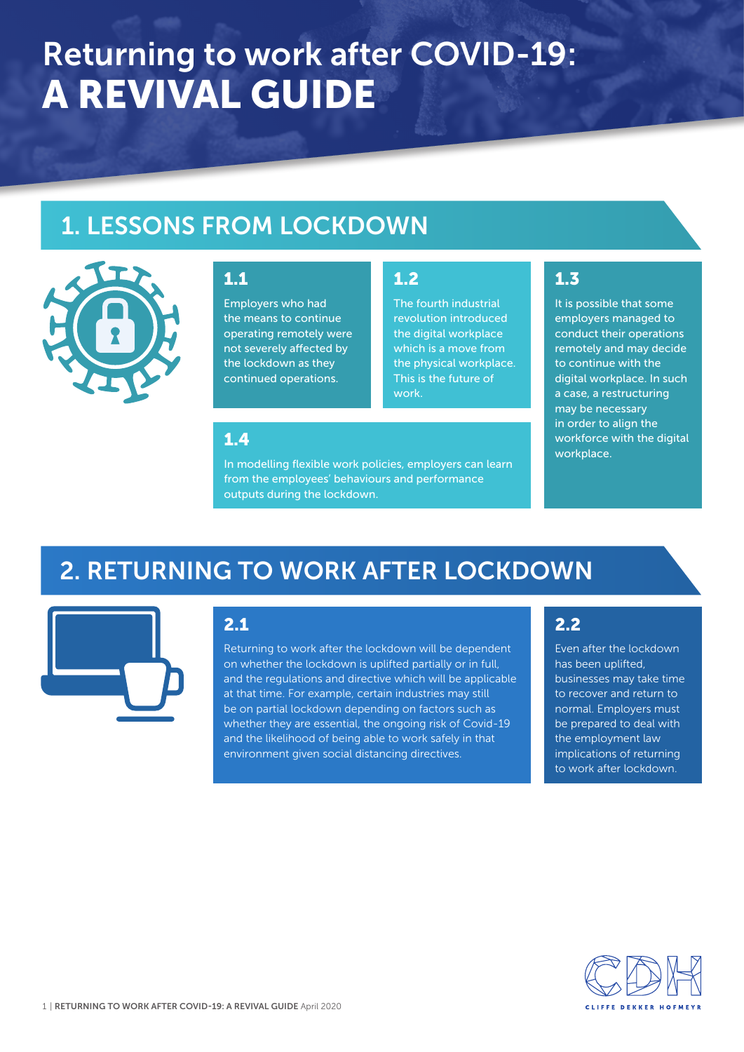# Returning to work after COVID-19: A REVIVAL GUIDE

# 1. LESSONS FROM LOCKDOWN



### 1.1

Employers who had the means to continue operating remotely were not severely affected by the lockdown as they continued operations.

### 1.2

The fourth industrial revolution introduced the digital workplace which is a move from the physical workplace. This is the future of work.

## 1.3

It is possible that some employers managed to conduct their operations remotely and may decide to continue with the digital workplace. In such a case, a restructuring may be necessary in order to align the workforce with the digital workplace.

### 1.4

In modelling flexible work policies, employers can learn from the employees' behaviours and performance outputs during the lockdown.

# 2. RETURNING TO WORK AFTER LOCKDOWN



### 2.1

Returning to work after the lockdown will be dependent on whether the lockdown is uplifted partially or in full, and the regulations and directive which will be applicable at that time. For example, certain industries may still be on partial lockdown depending on factors such as whether they are essential, the ongoing risk of Covid-19 and the likelihood of being able to work safely in that environment given social distancing directives.

## 2.2

Even after the lockdown has been uplifted, businesses may take time to recover and return to normal. Employers must be prepared to deal with the employment law implications of returning to work after lockdown.